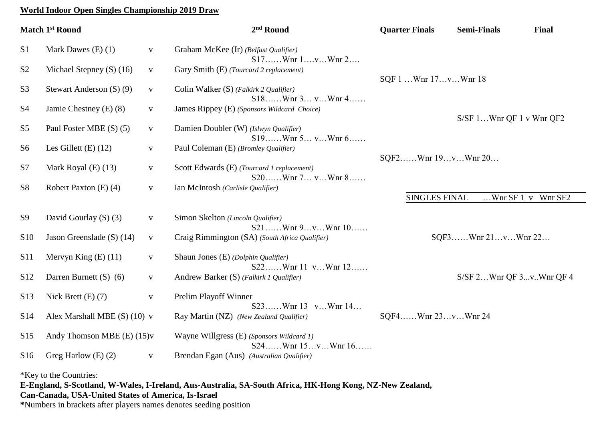## **World Indoor Open Singles Championship 2019 Draw**

| Match 1st Round        |                                 |              | 2 <sup>nd</sup> Round                                                 | <b>Quarter Finals</b> | <b>Semi-Finals</b>           | Final                        |
|------------------------|---------------------------------|--------------|-----------------------------------------------------------------------|-----------------------|------------------------------|------------------------------|
| S <sub>1</sub>         | Mark Dawes $(E)$ $(1)$          | $\mathbf{V}$ | Graham McKee (Ir) (Belfast Qualifier)<br>$S17$ Wnr $1vW$ nr $2$       |                       |                              |                              |
| S <sub>2</sub>         | Michael Stepney $(S)$ (16)      | $\mathbf{V}$ | Gary Smith (E) (Tourcard 2 replacement)                               | SQF 1  Wnr 17v Wnr 18 |                              |                              |
| S <sub>3</sub>         | Stewart Anderson (S) (9)        | $\mathbf V$  | Colin Walker (S) (Falkirk 2 Qualifier)<br>$S18$ Wnr 3 vWnr 4          |                       |                              |                              |
| S <sub>4</sub>         | Jamie Chestney (E) $(8)$        | $\mathbf V$  | James Rippey (E) (Sponsors Wildcard Choice)                           |                       | S/SF 1Wnr QF 1 v Wnr QF2     |                              |
| S <sub>5</sub>         | Paul Foster MBE (S) (5)         | $\mathbf V$  | Damien Doubler (W) (Islwyn Qualifier)<br>$S19$ Wnr 5 vWnr 6           |                       |                              |                              |
| S <sub>6</sub>         | Les Gillett $(E)$ (12)          | $\bf V$      | Paul Coleman (E) (Bromley Qualifier)                                  | SQF2Wnr 19vWnr 20     |                              |                              |
| S7                     | Mark Royal $(E)$ (13)           | $\mathbf{V}$ | Scott Edwards (E) (Tourcard 1 replacement)<br>$S20$ Wnr 7 vWnr 8      |                       |                              |                              |
| S <sub>8</sub>         | Robert Paxton (E) (4)           | $\mathbf{V}$ | Ian McIntosh (Carlisle Qualifier)                                     | <b>SINGLES FINAL</b>  |                              | Wnr SF $1 \text{ v}$ Wnr SF2 |
|                        |                                 |              |                                                                       |                       |                              |                              |
| S <sub>9</sub>         | David Gourlay $(S)$ (3)         | $\mathbf{V}$ | Simon Skelton (Lincoln Qualifier)<br>S21Wnr 9vWnr 10                  |                       |                              |                              |
| S <sub>10</sub>        | Jason Greenslade $(S)$ (14)     | $\mathbf{V}$ | Craig Rimmington (SA) (South Africa Qualifier)                        |                       | SQF3Wnr 21vWnr 22            |                              |
| <b>S11</b>             | Mervyn King $(E)$ (11)          | $\mathbf V$  | Shaun Jones (E) (Dolphin Qualifier)<br>$S22$ Wnr 11 vWnr 12           |                       |                              |                              |
| S <sub>12</sub>        | Darren Burnett $(S)$ (6)        | $\mathbf{V}$ | Andrew Barker (S) (Falkirk 1 Qualifier)                               |                       | $S/SF$ 2 Wnr QF 3v. Wnr QF 4 |                              |
| <b>S13</b>             | Nick Brett $(E)$ $(7)$          | $\mathbf{V}$ | Prelim Playoff Winner<br>S23Wnr 13 vWnr 14                            |                       |                              |                              |
| S <sub>14</sub>        | Alex Marshall MBE $(S)$ (10) v  |              | Ray Martin (NZ) (New Zealand Qualifier)                               | SQF4Wnr 23vWnr 24     |                              |                              |
| S15                    | Andy Thomson MBE $(E)$ (15) $v$ |              | Wayne Willgress (E) (Sponsors Wildcard 1)<br>$S24$ Wnr $15v$ Wnr $16$ |                       |                              |                              |
| S <sub>16</sub>        | Greg Harlow $(E)$ (2)           | $\mathbf{V}$ | Brendan Egan (Aus) (Australian Qualifier)                             |                       |                              |                              |
| *Key to the Countries: |                                 |              |                                                                       |                       |                              |                              |

**E-England, S-Scotland, W-Wales, I-Ireland, Aus-Australia, SA-South Africa, HK-Hong Kong, NZ-New Zealand, Can-Canada, USA-United States of America, Is-Israel**

**\***Numbers in brackets after players names denotes seeding position